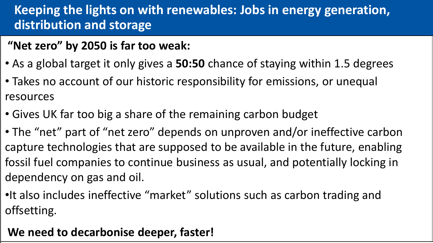## **Keeping the lights on with renewables: Jobs in energy generation, distribution and storage**

## **"Net zero" by 2050 is far too weak:**

- As a global target it only gives a **50:50** chance of staying within 1.5 degrees
- Takes no account of our historic responsibility for emissions, or unequal resources
- Gives UK far too big a share of the remaining carbon budget
- The "net" part of "net zero" depends on unproven and/or ineffective carbon capture technologies that are supposed to be available in the future, enabling fossil fuel companies to continue business as usual, and potentially locking in dependency on gas and oil.
- •It also includes ineffective "market" solutions such as carbon trading and offsetting.

## **We need to decarbonise deeper, faster!**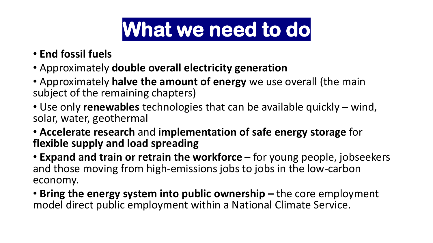# **What we need to do**

- **End fossil fuels**
- Approximately **double overall electricity generation**
- Approximately **halve the amount of energy** we use overall (the main subject of the remaining chapters)
- Use only **renewables** technologies that can be available quickly wind, solar, water, geothermal
- **Accelerate research** and **implementation of safe energy storage** for **flexible supply and load spreading**

• **Expand and train or retrain the workforce –** for young people, jobseekers and those moving from high-emissions jobs to jobs in the low-carbon economy.

• Bring the energy system into public ownership – the core employment model direct public employment within a National Climate Service.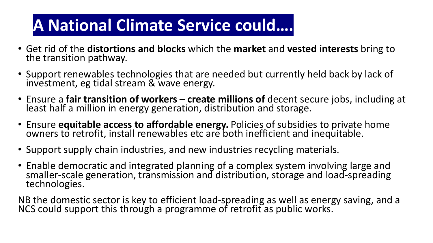## **A National Climate Service could….**

- Get rid of the **distortions and blocks** which the **market** and **vested interests** bring to the transition pathway.
- Support renewables technologies that are needed but currently held back by lack of investment, eg tidal stream & wave energy.
- Ensure a **fair transition of workers – create millions of** decent secure jobs, including at least half a million in energy generation, distribution and storage.
- Ensure **equitable access to affordable energy.** Policies of subsidies to private home owners to retrofit, install renewables etc are both inefficient and inequitable.
- Support supply chain industries, and new industries recycling materials.
- Enable democratic and integrated planning of a complex system involving large and smaller-scale generation, transmission and distribution, storage and load-spreading technologies.

NB the domestic sector is key to efficient load-spreading as well as energy saving, and a NCS could support this through a programme of retrofit as public works.